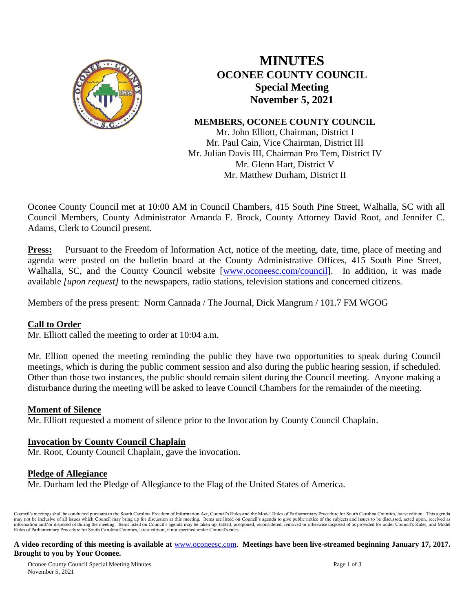

# **MINUTES OCONEE COUNTY COUNCIL Special Meeting November 5, 2021**

# **MEMBERS, OCONEE COUNTY COUNCIL**

Mr. John Elliott, Chairman, District I Mr. Paul Cain, Vice Chairman, District III Mr. Julian Davis III, Chairman Pro Tem, District IV Mr. Glenn Hart, District V Mr. Matthew Durham, District II

Oconee County Council met at 10:00 AM in Council Chambers, 415 South Pine Street, Walhalla, SC with all Council Members, County Administrator Amanda F. Brock, County Attorney David Root, and Jennifer C. Adams, Clerk to Council present.

**Press:** Pursuant to the Freedom of Information Act, notice of the meeting, date, time, place of meeting and agenda were posted on the bulletin board at the County Administrative Offices, 415 South Pine Street, Walhalla, SC, and the County Council website [\[www.oconeesc.com/council\]](http://www.oconeesc.com/council). In addition, it was made available *[upon request]* to the newspapers, radio stations, television stations and concerned citizens.

Members of the press present: Norm Cannada / The Journal, Dick Mangrum / 101.7 FM WGOG

### **Call to Order**

Mr. Elliott called the meeting to order at 10:04 a.m.

Mr. Elliott opened the meeting reminding the public they have two opportunities to speak during Council meetings, which is during the public comment session and also during the public hearing session, if scheduled. Other than those two instances, the public should remain silent during the Council meeting. Anyone making a disturbance during the meeting will be asked to leave Council Chambers for the remainder of the meeting.

### **Moment of Silence**

Mr. Elliott requested a moment of silence prior to the Invocation by County Council Chaplain.

### **Invocation by County Council Chaplain**

Mr. Root, County Council Chaplain, gave the invocation.

### **Pledge of Allegiance**

Mr. Durham led the Pledge of Allegiance to the Flag of the United States of America.

Council's meetings shall be conducted pursuant to the South Carolina Freedom of Information Act, Council's Rules and the Model Rules of Parliamentary Procedure for South Carolina Counties, latest edition. This agenda may not be inclusive of all issues which Council may bring up for discussion at this meeting. Items are listed on Council's agenda to give public notice of the subjects and issues to be discussed, acted upon, received as i Rules of Parliamentary Procedure for South Carolina Counties, latest edition, if not specified under Council's rules.

#### **A video recording of this meeting is available at** [www.oconeesc.com.](http://www.oconeesc.com/) **Meetings have been live-streamed beginning January 17, 2017. Brought to you by Your Oconee.**

Oconee County Council Special Meeting Minutes Page 1 of 3 November 5, 2021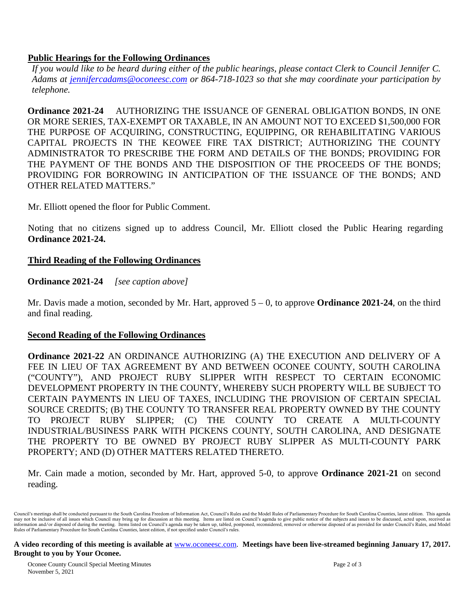### **Public Hearings for the Following Ordinances**

*If you would like to be heard during either of the public hearings, please contact Clerk to Council Jennifer C. Adams at jennifercadams@oconeesc.com or 864-718-1023 so that she may coordinate your participation by telephone.*

**Ordinance 2021-24** AUTHORIZING THE ISSUANCE OF GENERAL OBLIGATION BONDS, IN ONE OR MORE SERIES, TAX-EXEMPT OR TAXABLE, IN AN AMOUNT NOT TO EXCEED \$1,500,000 FOR THE PURPOSE OF ACQUIRING, CONSTRUCTING, EQUIPPING, OR REHABILITATING VARIOUS CAPITAL PROJECTS IN THE KEOWEE FIRE TAX DISTRICT; AUTHORIZING THE COUNTY ADMINISTRATOR TO PRESCRIBE THE FORM AND DETAILS OF THE BONDS; PROVIDING FOR THE PAYMENT OF THE BONDS AND THE DISPOSITION OF THE PROCEEDS OF THE BONDS; PROVIDING FOR BORROWING IN ANTICIPATION OF THE ISSUANCE OF THE BONDS; AND OTHER RELATED MATTERS."

Mr. Elliott opened the floor for Public Comment.

Noting that no citizens signed up to address Council, Mr. Elliott closed the Public Hearing regarding **Ordinance 2021-24.**

# **Third Reading of the Following Ordinances**

**Ordinance 2021-24** *[see caption above]*

Mr. Davis made a motion, seconded by Mr. Hart, approved 5 – 0, to approve **Ordinance 2021-24**, on the third and final reading.

# **Second Reading of the Following Ordinances**

**Ordinance 2021-22** AN ORDINANCE AUTHORIZING (A) THE EXECUTION AND DELIVERY OF A FEE IN LIEU OF TAX AGREEMENT BY AND BETWEEN OCONEE COUNTY, SOUTH CAROLINA ("COUNTY"), AND PROJECT RUBY SLIPPER WITH RESPECT TO CERTAIN ECONOMIC DEVELOPMENT PROPERTY IN THE COUNTY, WHEREBY SUCH PROPERTY WILL BE SUBJECT TO CERTAIN PAYMENTS IN LIEU OF TAXES, INCLUDING THE PROVISION OF CERTAIN SPECIAL SOURCE CREDITS; (B) THE COUNTY TO TRANSFER REAL PROPERTY OWNED BY THE COUNTY TO PROJECT RUBY SLIPPER; (C) THE COUNTY TO CREATE A MULTI-COUNTY INDUSTRIAL/BUSINESS PARK WITH PICKENS COUNTY, SOUTH CAROLINA, AND DESIGNATE THE PROPERTY TO BE OWNED BY PROJECT RUBY SLIPPER AS MULTI-COUNTY PARK PROPERTY; AND (D) OTHER MATTERS RELATED THERETO.

Mr. Cain made a motion, seconded by Mr. Hart, approved 5-0, to approve **Ordinance 2021-21** on second reading.

#### **A video recording of this meeting is available at** [www.oconeesc.com.](http://www.oconeesc.com/) **Meetings have been live-streamed beginning January 17, 2017. Brought to you by Your Oconee.**

Oconee County Council Special Meeting Minutes Page 2 of 3 November 5, 2021

Council's meetings shall be conducted pursuant to the South Carolina Freedom of Information Act, Council's Rules and the Model Rules of Parliamentary Procedure for South Carolina Counties, latest edition. This agenda may not be inclusive of all issues which Council may bring up for discussion at this meeting. Items are listed on Council's agenda to give public notice of the subjects and issues to be discussed, acted upon, received as i Rules of Parliamentary Procedure for South Carolina Counties, latest edition, if not specified under Council's rules.